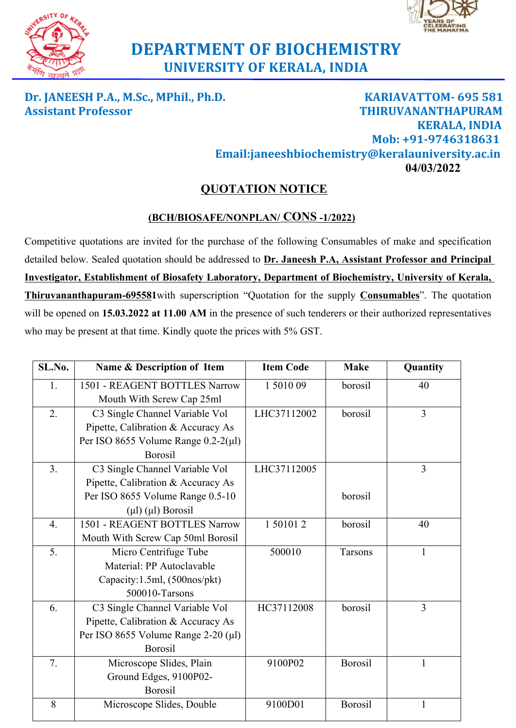



## **DEPARTMENT OF BIOCHEMISTRY UNIVERSITY OF KERALA, INDIA**

**Dr. JANEESH P.A., M.Sc., MPhil., Ph.D. KARIAVATTOM- 695 581 Assistant Professor THIRUVANANTHAPURAM KERALA, INDIA Mob: +91-9746318631 Email:janeeshbiochemistry@keralauniversity.ac.in 04/03/2022**

## **QUOTATION NOTICE**

## **(BCH/BIOSAFE/NONPLAN/ CONS -1/2022)**

Competitive quotations are invited for the purchase of the following Consumables of make and specification detailed below. Sealed quotation should be addressed to **Dr. Janeesh P.A, Assistant Professor and Principal Investigator, Establishment of Biosafety Laboratory, Department of Biochemistry, University of Kerala, Thiruvananthapuram-695581**with superscription "Quotation for the supply **Consumables**". The quotation will be opened on **15.03.2022 at 11.00 AM** in the presence of such tenderers or their authorized representatives who may be present at that time. Kindly quote the prices with 5% GST.

| SL.No.           | Name & Description of Item                  | <b>Item Code</b> | <b>Make</b>    | Quantity       |
|------------------|---------------------------------------------|------------------|----------------|----------------|
| 1.               | 1501 - REAGENT BOTTLES Narrow               | 1501009          | borosil        | 40             |
|                  | Mouth With Screw Cap 25ml                   |                  |                |                |
| 2.               | C3 Single Channel Variable Vol              | LHC37112002      | borosil        | $\overline{3}$ |
|                  | Pipette, Calibration & Accuracy As          |                  |                |                |
|                  | Per ISO 8655 Volume Range $0.2-2(\mu l)$    |                  |                |                |
|                  | <b>Borosil</b>                              |                  |                |                |
| 3.               | C3 Single Channel Variable Vol              | LHC37112005      |                | 3              |
|                  | Pipette, Calibration & Accuracy As          |                  |                |                |
|                  | Per ISO 8655 Volume Range 0.5-10            |                  | borosil        |                |
|                  | $(\mu\mathbf{l})$ $(\mu\mathbf{l})$ Borosil |                  |                |                |
| $\overline{4}$ . | 1501 - REAGENT BOTTLES Narrow               | 1 50101 2        | borosil        | 40             |
|                  | Mouth With Screw Cap 50ml Borosil           |                  |                |                |
| 5.               | Micro Centrifuge Tube                       | 500010           | Tarsons        | $\mathbf{1}$   |
|                  | Material: PP Autoclavable                   |                  |                |                |
|                  | Capacity:1.5ml, (500nos/pkt)                |                  |                |                |
|                  | 500010-Tarsons                              |                  |                |                |
| 6.               | C3 Single Channel Variable Vol              | HC37112008       | borosil        | 3              |
|                  | Pipette, Calibration & Accuracy As          |                  |                |                |
|                  | Per ISO 8655 Volume Range 2-20 (µl)         |                  |                |                |
|                  | <b>Borosil</b>                              |                  |                |                |
| 7.               | Microscope Slides, Plain                    | 9100P02          | <b>Borosil</b> | 1              |
|                  | Ground Edges, 9100P02-                      |                  |                |                |
|                  | Borosil                                     |                  |                |                |
| 8                | Microscope Slides, Double                   | 9100D01          | <b>Borosil</b> | $\mathbf{1}$   |
|                  |                                             |                  |                |                |